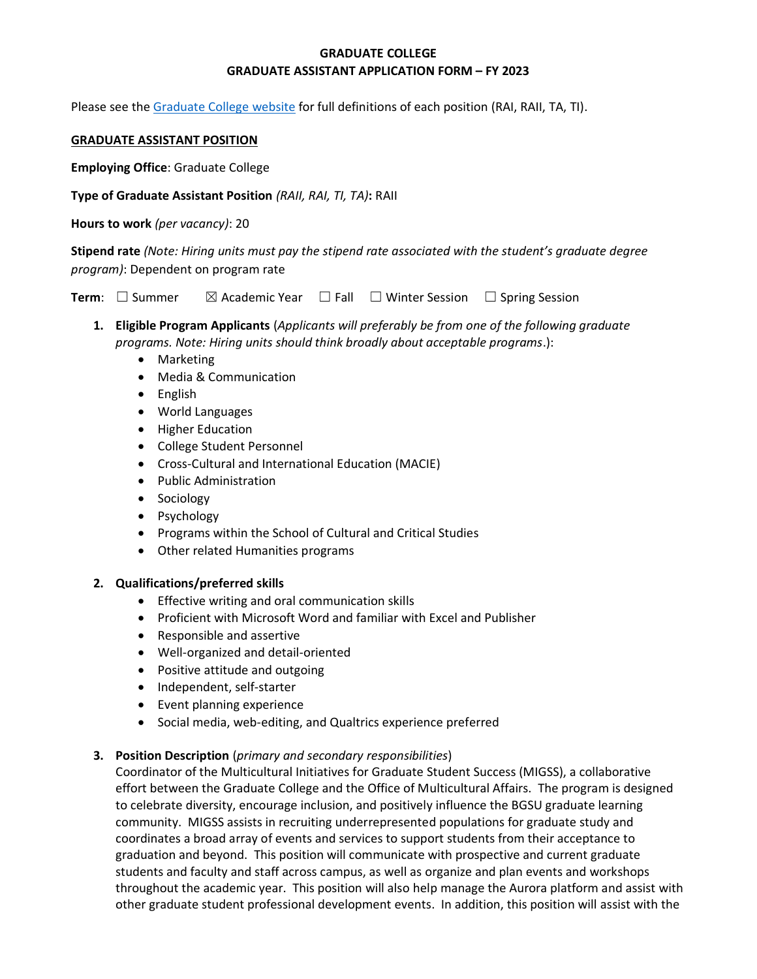# **GRADUATE COLLEGE GRADUATE ASSISTANT APPLICATION FORM – FY 2023**

Please see the [Graduate College website](https://www.bgsu.edu/content/dam/BGSU/graduate-college/doc/graduate-assistantship-policy/FINAL-Grad-Col-GA-guidelines-2020-21.pdf) for full definitions of each position (RAI, RAII, TA, TI).

#### **GRADUATE ASSISTANT POSITION**

**Employing Office**: Graduate College

**Type of Graduate Assistant Position** *(RAII, RAI, TI, TA)***:** RAII

**Hours to work** *(per vacancy)*: 20

**Stipend rate** *(Note: Hiring units must pay the stipend rate associated with the student's graduate degree program)*: Dependent on program rate

**Term**:  $\Box$  Summer  $\Box$  Academic Year  $\Box$  Fall  $\Box$  Winter Session  $\Box$  Spring Session

- **1. Eligible Program Applicants** (*Applicants will preferably be from one of the following graduate programs. Note: Hiring units should think broadly about acceptable programs*.):
	- Marketing
	- Media & Communication
	- English
	- World Languages
	- Higher Education
	- College Student Personnel
	- Cross-Cultural and International Education (MACIE)
	- Public Administration
	- Sociology
	- Psychology
	- Programs within the School of Cultural and Critical Studies
	- Other related Humanities programs

## **2. Qualifications/preferred skills**

- Effective writing and oral communication skills
- Proficient with Microsoft Word and familiar with Excel and Publisher
- Responsible and assertive
- Well-organized and detail-oriented
- Positive attitude and outgoing
- Independent, self-starter
- Event planning experience
- Social media, web-editing, and Qualtrics experience preferred

## **3. Position Description** (*primary and secondary responsibilities*)

Coordinator of the Multicultural Initiatives for Graduate Student Success (MIGSS), a collaborative effort between the Graduate College and the Office of Multicultural Affairs. The program is designed to celebrate diversity, encourage inclusion, and positively influence the BGSU graduate learning community. MIGSS assists in recruiting underrepresented populations for graduate study and coordinates a broad array of events and services to support students from their acceptance to graduation and beyond. This position will communicate with prospective and current graduate students and faculty and staff across campus, as well as organize and plan events and workshops throughout the academic year. This position will also help manage the Aurora platform and assist with other graduate student professional development events. In addition, this position will assist with the